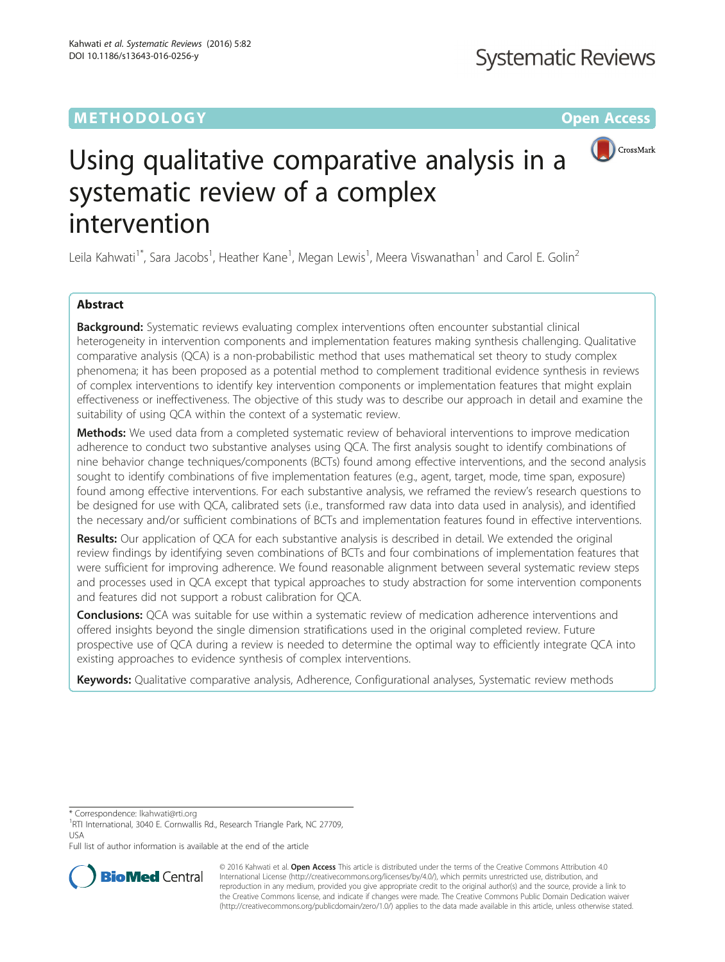# **METHODOLOGY CONSUMING ACCESS CONSUMING ACCESS**



# Using qualitative comparative analysis in a systematic review of a complex intervention

Leila Kahwati<sup>1\*</sup>, Sara Jacobs<sup>1</sup>, Heather Kane<sup>1</sup>, Megan Lewis<sup>1</sup>, Meera Viswanathan<sup>1</sup> and Carol E. Golin<sup>2</sup>

### Abstract

**Background:** Systematic reviews evaluating complex interventions often encounter substantial clinical heterogeneity in intervention components and implementation features making synthesis challenging. Qualitative comparative analysis (QCA) is a non-probabilistic method that uses mathematical set theory to study complex phenomena; it has been proposed as a potential method to complement traditional evidence synthesis in reviews of complex interventions to identify key intervention components or implementation features that might explain effectiveness or ineffectiveness. The objective of this study was to describe our approach in detail and examine the suitability of using QCA within the context of a systematic review.

**Methods:** We used data from a completed systematic review of behavioral interventions to improve medication adherence to conduct two substantive analyses using QCA. The first analysis sought to identify combinations of nine behavior change techniques/components (BCTs) found among effective interventions, and the second analysis sought to identify combinations of five implementation features (e.g., agent, target, mode, time span, exposure) found among effective interventions. For each substantive analysis, we reframed the review's research questions to be designed for use with QCA, calibrated sets (i.e., transformed raw data into data used in analysis), and identified the necessary and/or sufficient combinations of BCTs and implementation features found in effective interventions.

Results: Our application of QCA for each substantive analysis is described in detail. We extended the original review findings by identifying seven combinations of BCTs and four combinations of implementation features that were sufficient for improving adherence. We found reasonable alignment between several systematic review steps and processes used in QCA except that typical approaches to study abstraction for some intervention components and features did not support a robust calibration for QCA.

**Conclusions:** QCA was suitable for use within a systematic review of medication adherence interventions and offered insights beyond the single dimension stratifications used in the original completed review. Future prospective use of QCA during a review is needed to determine the optimal way to efficiently integrate QCA into existing approaches to evidence synthesis of complex interventions.

Keywords: Qualitative comparative analysis, Adherence, Configurational analyses, Systematic review methods

\* Correspondence: [lkahwati@rti.org](mailto:lkahwati@rti.org) <sup>1</sup>

Full list of author information is available at the end of the article



© 2016 Kahwati et al. Open Access This article is distributed under the terms of the Creative Commons Attribution 4.0 International License [\(http://creativecommons.org/licenses/by/4.0/](http://creativecommons.org/licenses/by/4.0/)), which permits unrestricted use, distribution, and reproduction in any medium, provided you give appropriate credit to the original author(s) and the source, provide a link to the Creative Commons license, and indicate if changes were made. The Creative Commons Public Domain Dedication waiver [\(http://creativecommons.org/publicdomain/zero/1.0/](http://creativecommons.org/publicdomain/zero/1.0/)) applies to the data made available in this article, unless otherwise stated.

<sup>&</sup>lt;sup>1</sup>RTI International, 3040 E. Cornwallis Rd., Research Triangle Park, NC 27709, USA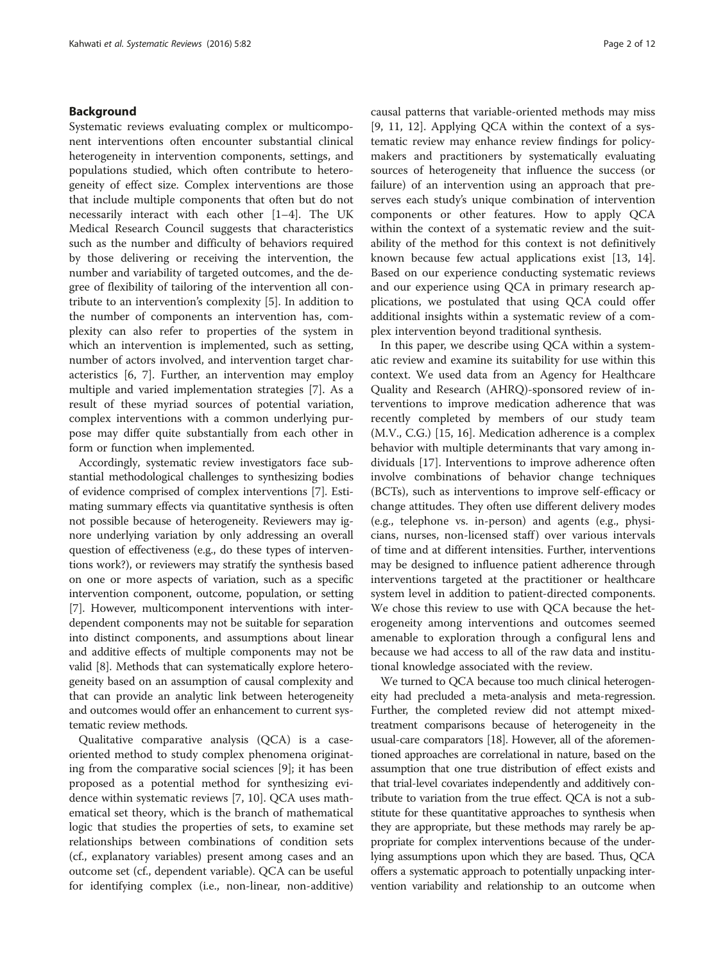#### Background

Systematic reviews evaluating complex or multicomponent interventions often encounter substantial clinical heterogeneity in intervention components, settings, and populations studied, which often contribute to heterogeneity of effect size. Complex interventions are those that include multiple components that often but do not necessarily interact with each other [\[1](#page-11-0)–[4](#page-11-0)]. The UK Medical Research Council suggests that characteristics such as the number and difficulty of behaviors required by those delivering or receiving the intervention, the number and variability of targeted outcomes, and the degree of flexibility of tailoring of the intervention all contribute to an intervention's complexity [[5](#page-11-0)]. In addition to the number of components an intervention has, complexity can also refer to properties of the system in which an intervention is implemented, such as setting, number of actors involved, and intervention target characteristics [\[6, 7\]](#page-11-0). Further, an intervention may employ multiple and varied implementation strategies [[7\]](#page-11-0). As a result of these myriad sources of potential variation, complex interventions with a common underlying purpose may differ quite substantially from each other in form or function when implemented.

Accordingly, systematic review investigators face substantial methodological challenges to synthesizing bodies of evidence comprised of complex interventions [[7\]](#page-11-0). Estimating summary effects via quantitative synthesis is often not possible because of heterogeneity. Reviewers may ignore underlying variation by only addressing an overall question of effectiveness (e.g., do these types of interventions work?), or reviewers may stratify the synthesis based on one or more aspects of variation, such as a specific intervention component, outcome, population, or setting [[7\]](#page-11-0). However, multicomponent interventions with interdependent components may not be suitable for separation into distinct components, and assumptions about linear and additive effects of multiple components may not be valid [[8\]](#page-11-0). Methods that can systematically explore heterogeneity based on an assumption of causal complexity and that can provide an analytic link between heterogeneity and outcomes would offer an enhancement to current systematic review methods.

Qualitative comparative analysis (QCA) is a caseoriented method to study complex phenomena originating from the comparative social sciences [[9](#page-11-0)]; it has been proposed as a potential method for synthesizing evidence within systematic reviews [\[7](#page-11-0), [10](#page-11-0)]. QCA uses mathematical set theory, which is the branch of mathematical logic that studies the properties of sets, to examine set relationships between combinations of condition sets (cf., explanatory variables) present among cases and an outcome set (cf., dependent variable). QCA can be useful for identifying complex (i.e., non-linear, non-additive) causal patterns that variable-oriented methods may miss [[9, 11, 12\]](#page-11-0). Applying QCA within the context of a systematic review may enhance review findings for policymakers and practitioners by systematically evaluating sources of heterogeneity that influence the success (or failure) of an intervention using an approach that preserves each study's unique combination of intervention components or other features. How to apply QCA within the context of a systematic review and the suitability of the method for this context is not definitively known because few actual applications exist [\[13, 14](#page-11-0)]. Based on our experience conducting systematic reviews and our experience using QCA in primary research applications, we postulated that using QCA could offer additional insights within a systematic review of a complex intervention beyond traditional synthesis.

In this paper, we describe using QCA within a systematic review and examine its suitability for use within this context. We used data from an Agency for Healthcare Quality and Research (AHRQ)-sponsored review of interventions to improve medication adherence that was recently completed by members of our study team (M.V., C.G.) [[15](#page-11-0), [16](#page-11-0)]. Medication adherence is a complex behavior with multiple determinants that vary among individuals [\[17](#page-11-0)]. Interventions to improve adherence often involve combinations of behavior change techniques (BCTs), such as interventions to improve self-efficacy or change attitudes. They often use different delivery modes (e.g., telephone vs. in-person) and agents (e.g., physicians, nurses, non-licensed staff) over various intervals of time and at different intensities. Further, interventions may be designed to influence patient adherence through interventions targeted at the practitioner or healthcare system level in addition to patient-directed components. We chose this review to use with QCA because the heterogeneity among interventions and outcomes seemed amenable to exploration through a configural lens and because we had access to all of the raw data and institutional knowledge associated with the review.

We turned to QCA because too much clinical heterogeneity had precluded a meta-analysis and meta-regression. Further, the completed review did not attempt mixedtreatment comparisons because of heterogeneity in the usual-care comparators [\[18](#page-11-0)]. However, all of the aforementioned approaches are correlational in nature, based on the assumption that one true distribution of effect exists and that trial-level covariates independently and additively contribute to variation from the true effect. QCA is not a substitute for these quantitative approaches to synthesis when they are appropriate, but these methods may rarely be appropriate for complex interventions because of the underlying assumptions upon which they are based. Thus, QCA offers a systematic approach to potentially unpacking intervention variability and relationship to an outcome when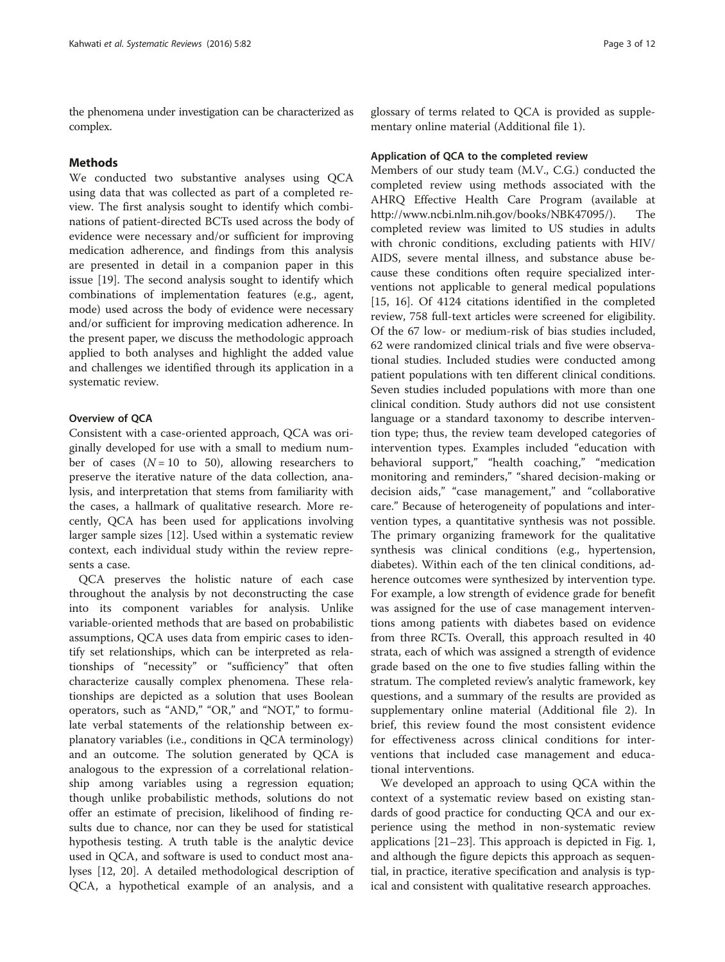the phenomena under investigation can be characterized as complex.

#### Methods

We conducted two substantive analyses using QCA using data that was collected as part of a completed review. The first analysis sought to identify which combinations of patient-directed BCTs used across the body of evidence were necessary and/or sufficient for improving medication adherence, and findings from this analysis are presented in detail in a companion paper in this issue [\[19](#page-11-0)]. The second analysis sought to identify which combinations of implementation features (e.g., agent, mode) used across the body of evidence were necessary and/or sufficient for improving medication adherence. In the present paper, we discuss the methodologic approach applied to both analyses and highlight the added value and challenges we identified through its application in a systematic review.

#### Overview of QCA

Consistent with a case-oriented approach, QCA was originally developed for use with a small to medium number of cases ( $N = 10$  to 50), allowing researchers to preserve the iterative nature of the data collection, analysis, and interpretation that stems from familiarity with the cases, a hallmark of qualitative research. More recently, QCA has been used for applications involving larger sample sizes [\[12\]](#page-11-0). Used within a systematic review context, each individual study within the review represents a case.

QCA preserves the holistic nature of each case throughout the analysis by not deconstructing the case into its component variables for analysis. Unlike variable-oriented methods that are based on probabilistic assumptions, QCA uses data from empiric cases to identify set relationships, which can be interpreted as relationships of "necessity" or "sufficiency" that often characterize causally complex phenomena. These relationships are depicted as a solution that uses Boolean operators, such as "AND," "OR," and "NOT," to formulate verbal statements of the relationship between explanatory variables (i.e., conditions in QCA terminology) and an outcome. The solution generated by QCA is analogous to the expression of a correlational relationship among variables using a regression equation; though unlike probabilistic methods, solutions do not offer an estimate of precision, likelihood of finding results due to chance, nor can they be used for statistical hypothesis testing. A truth table is the analytic device used in QCA, and software is used to conduct most analyses [[12, 20](#page-11-0)]. A detailed methodological description of QCA, a hypothetical example of an analysis, and a glossary of terms related to QCA is provided as supplementary online material (Additional file [1](#page-10-0)).

#### Application of QCA to the completed review

Members of our study team (M.V., C.G.) conducted the completed review using methods associated with the AHRQ Effective Health Care Program (available at [http://www.ncbi.nlm.nih.gov/books/NBK47095/\)](http://www.ncbi.nlm.nih.gov/books/NBK47095/). The completed review was limited to US studies in adults with chronic conditions, excluding patients with HIV/ AIDS, severe mental illness, and substance abuse because these conditions often require specialized interventions not applicable to general medical populations [[15, 16](#page-11-0)]. Of 4124 citations identified in the completed review, 758 full-text articles were screened for eligibility. Of the 67 low- or medium-risk of bias studies included, 62 were randomized clinical trials and five were observational studies. Included studies were conducted among patient populations with ten different clinical conditions. Seven studies included populations with more than one clinical condition. Study authors did not use consistent language or a standard taxonomy to describe intervention type; thus, the review team developed categories of intervention types. Examples included "education with behavioral support," "health coaching," "medication monitoring and reminders," "shared decision-making or decision aids," "case management," and "collaborative care." Because of heterogeneity of populations and intervention types, a quantitative synthesis was not possible. The primary organizing framework for the qualitative synthesis was clinical conditions (e.g., hypertension, diabetes). Within each of the ten clinical conditions, adherence outcomes were synthesized by intervention type. For example, a low strength of evidence grade for benefit was assigned for the use of case management interventions among patients with diabetes based on evidence from three RCTs. Overall, this approach resulted in 40 strata, each of which was assigned a strength of evidence grade based on the one to five studies falling within the stratum. The completed review's analytic framework, key questions, and a summary of the results are provided as supplementary online material (Additional file [2](#page-10-0)). In brief, this review found the most consistent evidence for effectiveness across clinical conditions for interventions that included case management and educational interventions.

We developed an approach to using QCA within the context of a systematic review based on existing standards of good practice for conducting QCA and our experience using the method in non-systematic review applications [[21](#page-11-0)–[23](#page-11-0)]. This approach is depicted in Fig. [1](#page-3-0), and although the figure depicts this approach as sequential, in practice, iterative specification and analysis is typical and consistent with qualitative research approaches.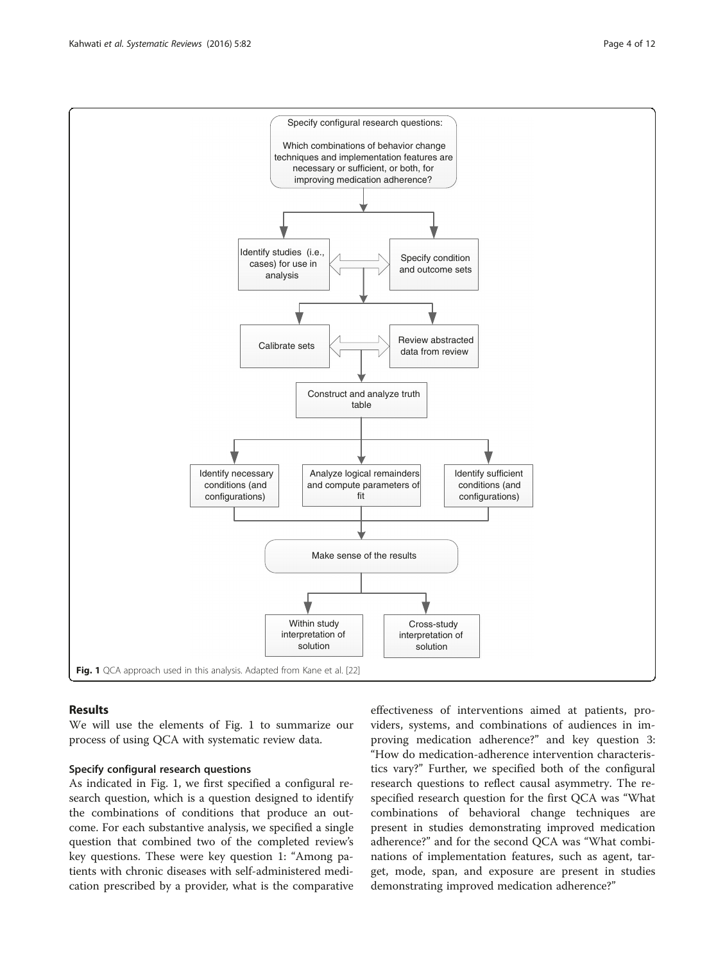<span id="page-3-0"></span>

#### Results

We will use the elements of Fig. 1 to summarize our process of using QCA with systematic review data.

#### Specify configural research questions

As indicated in Fig. 1, we first specified a configural research question, which is a question designed to identify the combinations of conditions that produce an outcome. For each substantive analysis, we specified a single question that combined two of the completed review's key questions. These were key question 1: "Among patients with chronic diseases with self-administered medication prescribed by a provider, what is the comparative effectiveness of interventions aimed at patients, providers, systems, and combinations of audiences in improving medication adherence?" and key question 3: "How do medication-adherence intervention characteristics vary?" Further, we specified both of the configural research questions to reflect causal asymmetry. The respecified research question for the first QCA was "What combinations of behavioral change techniques are present in studies demonstrating improved medication adherence?" and for the second QCA was "What combinations of implementation features, such as agent, target, mode, span, and exposure are present in studies demonstrating improved medication adherence?"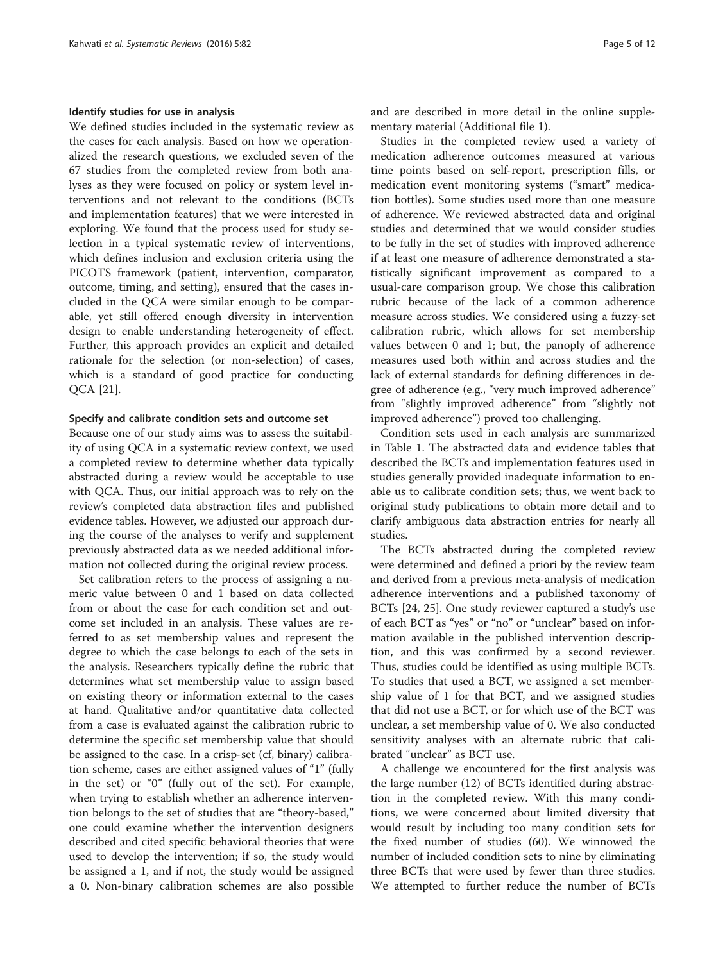#### Identify studies for use in analysis

We defined studies included in the systematic review as the cases for each analysis. Based on how we operationalized the research questions, we excluded seven of the 67 studies from the completed review from both analyses as they were focused on policy or system level interventions and not relevant to the conditions (BCTs and implementation features) that we were interested in exploring. We found that the process used for study selection in a typical systematic review of interventions, which defines inclusion and exclusion criteria using the PICOTS framework (patient, intervention, comparator, outcome, timing, and setting), ensured that the cases included in the QCA were similar enough to be comparable, yet still offered enough diversity in intervention design to enable understanding heterogeneity of effect. Further, this approach provides an explicit and detailed rationale for the selection (or non-selection) of cases, which is a standard of good practice for conducting QCA [\[21](#page-11-0)].

#### Specify and calibrate condition sets and outcome set

Because one of our study aims was to assess the suitability of using QCA in a systematic review context, we used a completed review to determine whether data typically abstracted during a review would be acceptable to use with QCA. Thus, our initial approach was to rely on the review's completed data abstraction files and published evidence tables. However, we adjusted our approach during the course of the analyses to verify and supplement previously abstracted data as we needed additional information not collected during the original review process.

Set calibration refers to the process of assigning a numeric value between 0 and 1 based on data collected from or about the case for each condition set and outcome set included in an analysis. These values are referred to as set membership values and represent the degree to which the case belongs to each of the sets in the analysis. Researchers typically define the rubric that determines what set membership value to assign based on existing theory or information external to the cases at hand. Qualitative and/or quantitative data collected from a case is evaluated against the calibration rubric to determine the specific set membership value that should be assigned to the case. In a crisp-set (cf, binary) calibration scheme, cases are either assigned values of "1" (fully in the set) or "0" (fully out of the set). For example, when trying to establish whether an adherence intervention belongs to the set of studies that are "theory-based," one could examine whether the intervention designers described and cited specific behavioral theories that were used to develop the intervention; if so, the study would be assigned a 1, and if not, the study would be assigned a 0. Non-binary calibration schemes are also possible and are described in more detail in the online supplementary material (Additional file [1](#page-10-0)).

Studies in the completed review used a variety of medication adherence outcomes measured at various time points based on self-report, prescription fills, or medication event monitoring systems ("smart" medication bottles). Some studies used more than one measure of adherence. We reviewed abstracted data and original studies and determined that we would consider studies to be fully in the set of studies with improved adherence if at least one measure of adherence demonstrated a statistically significant improvement as compared to a usual-care comparison group. We chose this calibration rubric because of the lack of a common adherence measure across studies. We considered using a fuzzy-set calibration rubric, which allows for set membership values between 0 and 1; but, the panoply of adherence measures used both within and across studies and the lack of external standards for defining differences in degree of adherence (e.g., "very much improved adherence" from "slightly improved adherence" from "slightly not improved adherence") proved too challenging.

Condition sets used in each analysis are summarized in Table [1.](#page-5-0) The abstracted data and evidence tables that described the BCTs and implementation features used in studies generally provided inadequate information to enable us to calibrate condition sets; thus, we went back to original study publications to obtain more detail and to clarify ambiguous data abstraction entries for nearly all studies.

The BCTs abstracted during the completed review were determined and defined a priori by the review team and derived from a previous meta-analysis of medication adherence interventions and a published taxonomy of BCTs [\[24](#page-11-0), [25\]](#page-11-0). One study reviewer captured a study's use of each BCT as "yes" or "no" or "unclear" based on information available in the published intervention description, and this was confirmed by a second reviewer. Thus, studies could be identified as using multiple BCTs. To studies that used a BCT, we assigned a set membership value of 1 for that BCT, and we assigned studies that did not use a BCT, or for which use of the BCT was unclear, a set membership value of 0. We also conducted sensitivity analyses with an alternate rubric that calibrated "unclear" as BCT use.

A challenge we encountered for the first analysis was the large number (12) of BCTs identified during abstraction in the completed review. With this many conditions, we were concerned about limited diversity that would result by including too many condition sets for the fixed number of studies (60). We winnowed the number of included condition sets to nine by eliminating three BCTs that were used by fewer than three studies. We attempted to further reduce the number of BCTs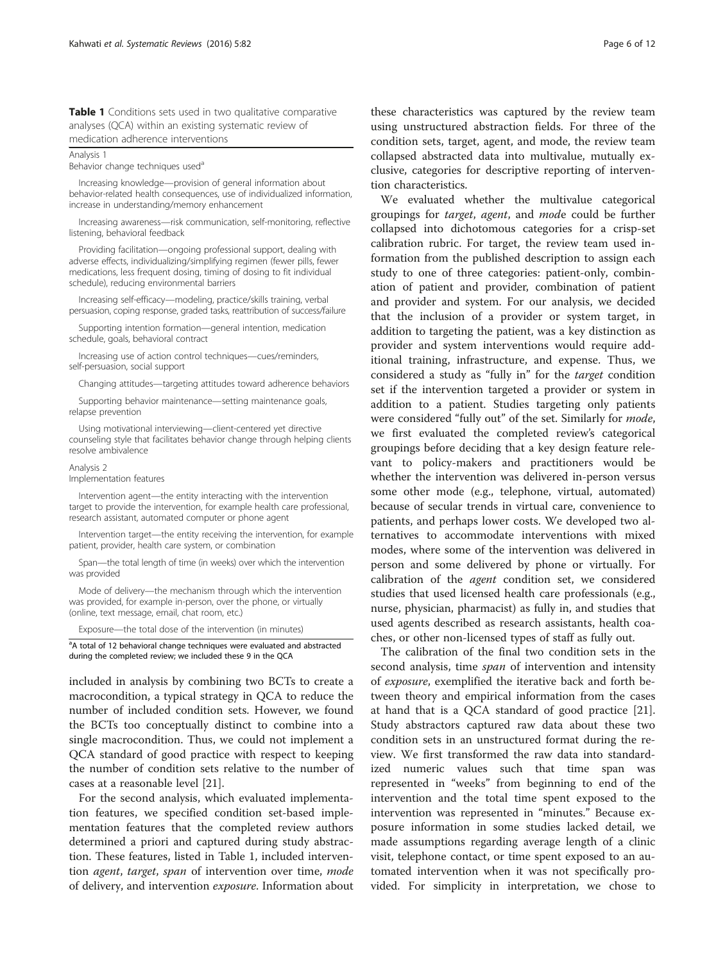<span id="page-5-0"></span>Table 1 Conditions sets used in two qualitative comparative analyses (QCA) within an existing systematic review of medication adherence interventions

#### Analysis 1

Behavior change techniques used<sup>a</sup>

Increasing knowledge—provision of general information about behavior-related health consequences, use of individualized information, increase in understanding/memory enhancement

Increasing awareness—risk communication, self-monitoring, reflective listening, behavioral feedback

Providing facilitation—ongoing professional support, dealing with adverse effects, individualizing/simplifying regimen (fewer pills, fewer medications, less frequent dosing, timing of dosing to fit individual schedule), reducing environmental barriers

Increasing self-efficacy—modeling, practice/skills training, verbal persuasion, coping response, graded tasks, reattribution of success/failure

Supporting intention formation—general intention, medication schedule, goals, behavioral contract

Increasing use of action control techniques—cues/reminders, self-persuasion, social support

Changing attitudes—targeting attitudes toward adherence behaviors

Supporting behavior maintenance—setting maintenance goals, relapse prevention

Using motivational interviewing—client-centered yet directive counseling style that facilitates behavior change through helping clients resolve ambivalence

#### Analysis 2

Implementation features

Intervention agent—the entity interacting with the intervention target to provide the intervention, for example health care professional, research assistant, automated computer or phone agent

Intervention target—the entity receiving the intervention, for example patient, provider, health care system, or combination

Span—the total length of time (in weeks) over which the intervention was provided

Mode of delivery—the mechanism through which the intervention was provided, for example in-person, over the phone, or virtually (online, text message, email, chat room, etc.)

Exposure—the total dose of the intervention (in minutes)

<sup>a</sup>A total of 12 behavioral change techniques were evaluated and abstracted during the completed review; we included these 9 in the QCA

included in analysis by combining two BCTs to create a macrocondition, a typical strategy in QCA to reduce the number of included condition sets. However, we found the BCTs too conceptually distinct to combine into a single macrocondition. Thus, we could not implement a QCA standard of good practice with respect to keeping the number of condition sets relative to the number of cases at a reasonable level [\[21](#page-11-0)].

For the second analysis, which evaluated implementation features, we specified condition set-based implementation features that the completed review authors determined a priori and captured during study abstraction. These features, listed in Table 1, included intervention agent, target, span of intervention over time, mode of delivery, and intervention exposure. Information about these characteristics was captured by the review team using unstructured abstraction fields. For three of the condition sets, target, agent, and mode, the review team collapsed abstracted data into multivalue, mutually exclusive, categories for descriptive reporting of intervention characteristics.

We evaluated whether the multivalue categorical groupings for target, agent, and mode could be further collapsed into dichotomous categories for a crisp-set calibration rubric. For target, the review team used information from the published description to assign each study to one of three categories: patient-only, combination of patient and provider, combination of patient and provider and system. For our analysis, we decided that the inclusion of a provider or system target, in addition to targeting the patient, was a key distinction as provider and system interventions would require additional training, infrastructure, and expense. Thus, we considered a study as "fully in" for the target condition set if the intervention targeted a provider or system in addition to a patient. Studies targeting only patients were considered "fully out" of the set. Similarly for *mode*, we first evaluated the completed review's categorical groupings before deciding that a key design feature relevant to policy-makers and practitioners would be whether the intervention was delivered in-person versus some other mode (e.g., telephone, virtual, automated) because of secular trends in virtual care, convenience to patients, and perhaps lower costs. We developed two alternatives to accommodate interventions with mixed modes, where some of the intervention was delivered in person and some delivered by phone or virtually. For calibration of the agent condition set, we considered studies that used licensed health care professionals (e.g., nurse, physician, pharmacist) as fully in, and studies that used agents described as research assistants, health coaches, or other non-licensed types of staff as fully out.

The calibration of the final two condition sets in the second analysis, time *span* of intervention and intensity of exposure, exemplified the iterative back and forth between theory and empirical information from the cases at hand that is a QCA standard of good practice [\[21](#page-11-0)]. Study abstractors captured raw data about these two condition sets in an unstructured format during the review. We first transformed the raw data into standardized numeric values such that time span was represented in "weeks" from beginning to end of the intervention and the total time spent exposed to the intervention was represented in "minutes." Because exposure information in some studies lacked detail, we made assumptions regarding average length of a clinic visit, telephone contact, or time spent exposed to an automated intervention when it was not specifically provided. For simplicity in interpretation, we chose to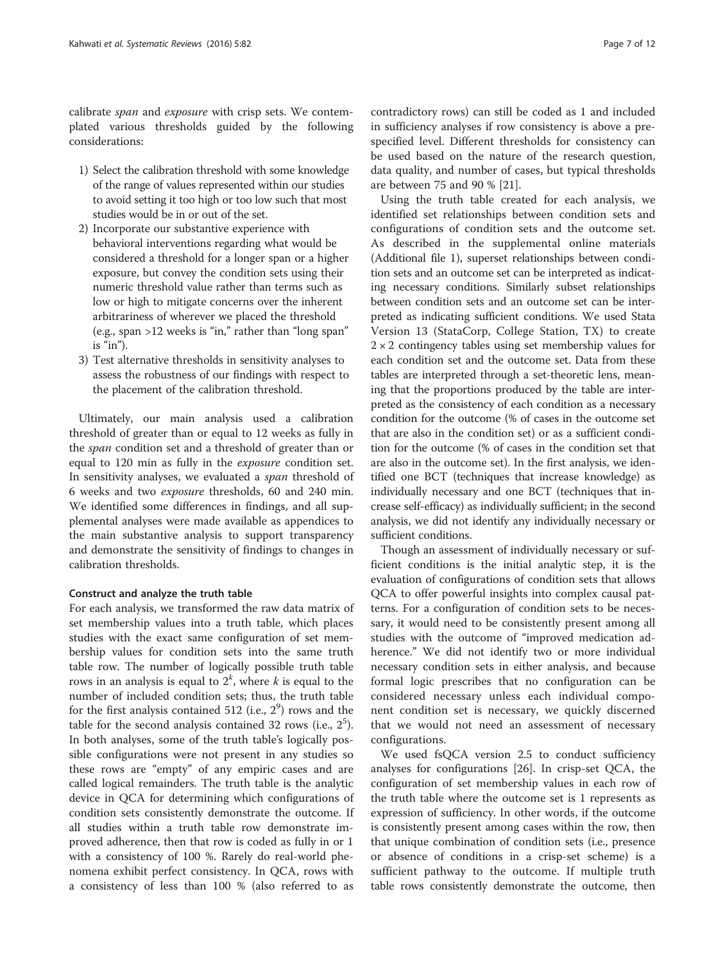calibrate span and exposure with crisp sets. We contemplated various thresholds guided by the following considerations:

- 1) Select the calibration threshold with some knowledge of the range of values represented within our studies to avoid setting it too high or too low such that most studies would be in or out of the set.
- 2) Incorporate our substantive experience with behavioral interventions regarding what would be considered a threshold for a longer span or a higher exposure, but convey the condition sets using their numeric threshold value rather than terms such as low or high to mitigate concerns over the inherent arbitrariness of wherever we placed the threshold (e.g., span >12 weeks is "in," rather than "long span"  $is$  " $in$ ").
- 3) Test alternative thresholds in sensitivity analyses to assess the robustness of our findings with respect to the placement of the calibration threshold.

Ultimately, our main analysis used a calibration threshold of greater than or equal to 12 weeks as fully in the *span* condition set and a threshold of greater than or equal to 120 min as fully in the exposure condition set. In sensitivity analyses, we evaluated a *span* threshold of 6 weeks and two exposure thresholds, 60 and 240 min. We identified some differences in findings, and all supplemental analyses were made available as appendices to the main substantive analysis to support transparency and demonstrate the sensitivity of findings to changes in calibration thresholds.

#### Construct and analyze the truth table

For each analysis, we transformed the raw data matrix of set membership values into a truth table, which places studies with the exact same configuration of set membership values for condition sets into the same truth table row. The number of logically possible truth table rows in an analysis is equal to  $2^k$ , where  $k$  is equal to the number of included condition sets; thus, the truth table for the first analysis contained 512 (i.e.,  $2^9$ ) rows and the table for the second analysis contained 32 rows (i.e.,  $2^5$ ). In both analyses, some of the truth table's logically possible configurations were not present in any studies so these rows are "empty" of any empiric cases and are called logical remainders. The truth table is the analytic device in QCA for determining which configurations of condition sets consistently demonstrate the outcome. If all studies within a truth table row demonstrate improved adherence, then that row is coded as fully in or 1 with a consistency of 100 %. Rarely do real-world phenomena exhibit perfect consistency. In QCA, rows with a consistency of less than 100 % (also referred to as

contradictory rows) can still be coded as 1 and included in sufficiency analyses if row consistency is above a prespecified level. Different thresholds for consistency can be used based on the nature of the research question, data quality, and number of cases, but typical thresholds are between 75 and 90 % [\[21](#page-11-0)].

Using the truth table created for each analysis, we identified set relationships between condition sets and configurations of condition sets and the outcome set. As described in the supplemental online materials (Additional file [1\)](#page-10-0), superset relationships between condition sets and an outcome set can be interpreted as indicating necessary conditions. Similarly subset relationships between condition sets and an outcome set can be interpreted as indicating sufficient conditions. We used Stata Version 13 (StataCorp, College Station, TX) to create  $2 \times 2$  contingency tables using set membership values for each condition set and the outcome set. Data from these tables are interpreted through a set-theoretic lens, meaning that the proportions produced by the table are interpreted as the consistency of each condition as a necessary condition for the outcome (% of cases in the outcome set that are also in the condition set) or as a sufficient condition for the outcome (% of cases in the condition set that are also in the outcome set). In the first analysis, we identified one BCT (techniques that increase knowledge) as individually necessary and one BCT (techniques that increase self-efficacy) as individually sufficient; in the second analysis, we did not identify any individually necessary or sufficient conditions.

Though an assessment of individually necessary or sufficient conditions is the initial analytic step, it is the evaluation of configurations of condition sets that allows QCA to offer powerful insights into complex causal patterns. For a configuration of condition sets to be necessary, it would need to be consistently present among all studies with the outcome of "improved medication adherence." We did not identify two or more individual necessary condition sets in either analysis, and because formal logic prescribes that no configuration can be considered necessary unless each individual component condition set is necessary, we quickly discerned that we would not need an assessment of necessary configurations.

We used fsQCA version 2.5 to conduct sufficiency analyses for configurations [[26\]](#page-11-0). In crisp-set QCA, the configuration of set membership values in each row of the truth table where the outcome set is 1 represents as expression of sufficiency. In other words, if the outcome is consistently present among cases within the row, then that unique combination of condition sets (i.e., presence or absence of conditions in a crisp-set scheme) is a sufficient pathway to the outcome. If multiple truth table rows consistently demonstrate the outcome, then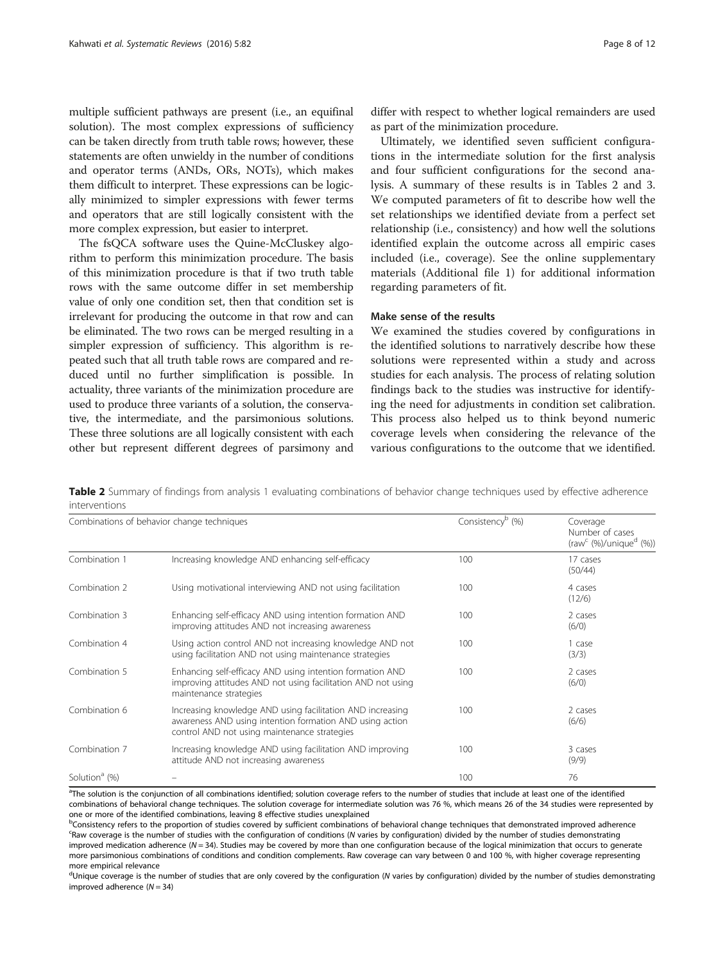multiple sufficient pathways are present (i.e., an equifinal solution). The most complex expressions of sufficiency can be taken directly from truth table rows; however, these statements are often unwieldy in the number of conditions and operator terms (ANDs, ORs, NOTs), which makes them difficult to interpret. These expressions can be logically minimized to simpler expressions with fewer terms and operators that are still logically consistent with the more complex expression, but easier to interpret.

The fsQCA software uses the Quine-McCluskey algorithm to perform this minimization procedure. The basis of this minimization procedure is that if two truth table rows with the same outcome differ in set membership value of only one condition set, then that condition set is irrelevant for producing the outcome in that row and can be eliminated. The two rows can be merged resulting in a simpler expression of sufficiency. This algorithm is repeated such that all truth table rows are compared and reduced until no further simplification is possible. In actuality, three variants of the minimization procedure are used to produce three variants of a solution, the conservative, the intermediate, and the parsimonious solutions. These three solutions are all logically consistent with each other but represent different degrees of parsimony and

differ with respect to whether logical remainders are used as part of the minimization procedure.

Ultimately, we identified seven sufficient configurations in the intermediate solution for the first analysis and four sufficient configurations for the second analysis. A summary of these results is in Tables 2 and [3](#page-8-0). We computed parameters of fit to describe how well the set relationships we identified deviate from a perfect set relationship (i.e., consistency) and how well the solutions identified explain the outcome across all empiric cases included (i.e., coverage). See the online supplementary materials (Additional file [1](#page-10-0)) for additional information regarding parameters of fit.

#### Make sense of the results

We examined the studies covered by configurations in the identified solutions to narratively describe how these solutions were represented within a study and across studies for each analysis. The process of relating solution findings back to the studies was instructive for identifying the need for adjustments in condition set calibration. This process also helped us to think beyond numeric coverage levels when considering the relevance of the various configurations to the outcome that we identified.

Table 2 Summary of findings from analysis 1 evaluating combinations of behavior change techniques used by effective adherence interventions

| Combinations of behavior change techniques |                                                                                                                                                                        | Consistency <sup>b</sup> (%) | Coverage<br>Number of cases<br>(raw <sup>c</sup> (%)/unique <sup>d</sup> (%)) |
|--------------------------------------------|------------------------------------------------------------------------------------------------------------------------------------------------------------------------|------------------------------|-------------------------------------------------------------------------------|
| Combination 1                              | Increasing knowledge AND enhancing self-efficacy                                                                                                                       | 100                          | 17 cases<br>(50/44)                                                           |
| Combination 2                              | Using motivational interviewing AND not using facilitation                                                                                                             | 100                          | 4 cases<br>(12/6)                                                             |
| Combination 3                              | Enhancing self-efficacy AND using intention formation AND<br>improving attitudes AND not increasing awareness                                                          | 100                          | 2 cases<br>(6/0)                                                              |
| Combination 4                              | Using action control AND not increasing knowledge AND not<br>using facilitation AND not using maintenance strategies                                                   | 100                          | 1 case<br>(3/3)                                                               |
| Combination 5                              | Enhancing self-efficacy AND using intention formation AND<br>improving attitudes AND not using facilitation AND not using<br>maintenance strategies                    | 100                          | 2 cases<br>(6/0)                                                              |
| Combination 6                              | Increasing knowledge AND using facilitation AND increasing<br>awareness AND using intention formation AND using action<br>control AND not using maintenance strategies | 100                          | 2 cases<br>(6/6)                                                              |
| Combination 7                              | Increasing knowledge AND using facilitation AND improving<br>attitude AND not increasing awareness                                                                     | 100                          | 3 cases<br>(9/9)                                                              |
| Solution <sup>a</sup> (%)                  |                                                                                                                                                                        | 100                          | 76                                                                            |

<sup>a</sup>The solution is the conjunction of all combinations identified; solution coverage refers to the number of studies that include at least one of the identified combinations of behavioral change techniques. The solution coverage for intermediate solution was 76 %, which means 26 of the 34 studies were represented by one or more of the identified combinations, leaving 8 effective studies unexplained

bConsistency refers to the proportion of studies covered by sufficient combinations of behavioral change techniques that demonstrated improved adherence Raw coverage is the number of studies with the configuration of conditions (N varies by configuration) divided by the number of studies demonstrating improved medication adherence ( $N = 34$ ). Studies may be covered by more than one configuration because of the logical minimization that occurs to generate more parsimonious combinations of conditions and condition complements. Raw coverage can vary between 0 and 100 %, with higher coverage representing more empirical relevance

dUnique coverage is the number of studies that are only covered by the configuration (N varies by configuration) divided by the number of studies demonstrating improved adherence  $(N = 34)$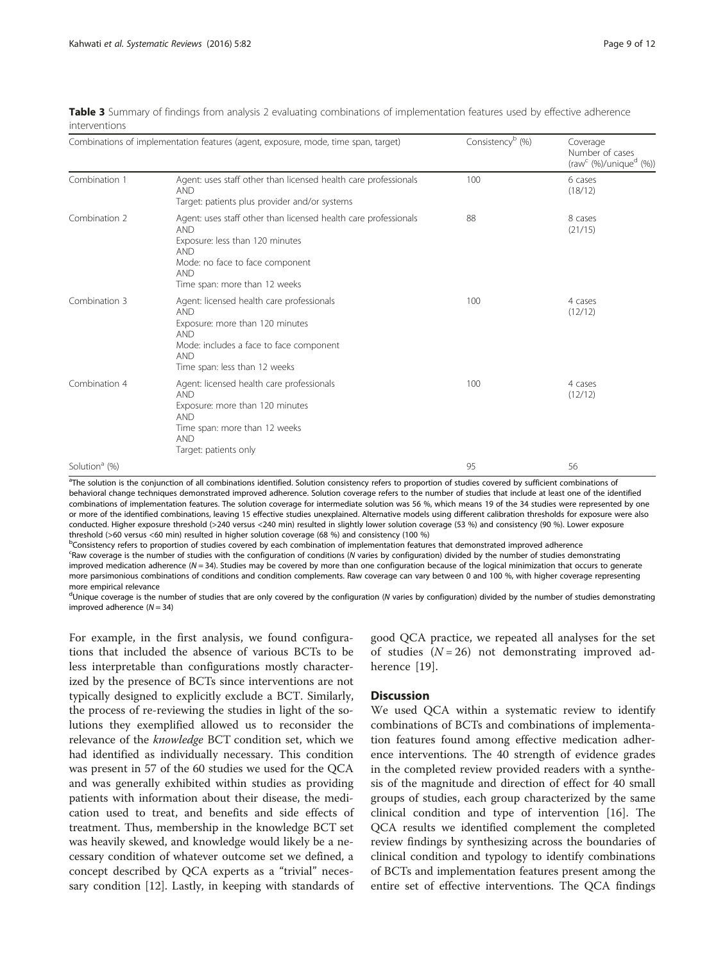| Combinations of implementation features (agent, exposure, mode, time span, target) |                                                                                                                                                                                                                  | Consistency <sup>b</sup> (%) | Coverage<br>Number of cases<br>(raw <sup>c</sup> (%)/unique <sup>d</sup> (%)) |
|------------------------------------------------------------------------------------|------------------------------------------------------------------------------------------------------------------------------------------------------------------------------------------------------------------|------------------------------|-------------------------------------------------------------------------------|
| Combination 1                                                                      | Agent: uses staff other than licensed health care professionals<br><b>AND</b><br>Target: patients plus provider and/or systems                                                                                   | 100                          | 6 cases<br>(18/12)                                                            |
| Combination 2                                                                      | Agent: uses staff other than licensed health care professionals<br><b>AND</b><br>Exposure: less than 120 minutes<br><b>AND</b><br>Mode: no face to face component<br><b>AND</b><br>Time span: more than 12 weeks | 88                           | 8 cases<br>(21/15)                                                            |
| Combination 3                                                                      | Agent: licensed health care professionals<br><b>AND</b><br>Exposure: more than 120 minutes<br><b>AND</b><br>Mode: includes a face to face component<br><b>AND</b><br>Time span: less than 12 weeks               | 100                          | 4 cases<br>(12/12)                                                            |
| Combination 4                                                                      | Agent: licensed health care professionals<br><b>AND</b><br>Exposure: more than 120 minutes<br><b>AND</b><br>Time span: more than 12 weeks<br><b>AND</b><br>Target: patients only                                 | 100                          | 4 cases<br>(12/12)                                                            |
| Solution <sup>a</sup> (%)                                                          |                                                                                                                                                                                                                  | 95                           | 56                                                                            |

<span id="page-8-0"></span>Table 3 Summary of findings from analysis 2 evaluating combinations of implementation features used by effective adherence interventions

<sup>a</sup>The solution is the conjunction of all combinations identified. Solution consistency refers to proportion of studies covered by sufficient combinations of behavioral change techniques demonstrated improved adherence. Solution coverage refers to the number of studies that include at least one of the identified combinations of implementation features. The solution coverage for intermediate solution was 56 %, which means 19 of the 34 studies were represented by one or more of the identified combinations, leaving 15 effective studies unexplained. Alternative models using different calibration thresholds for exposure were also conducted. Higher exposure threshold (>240 versus <240 min) resulted in slightly lower solution coverage (53 %) and consistency (90 %). Lower exposure threshold (>60 versus <60 min) resulted in higher solution coverage (68 %) and consistency (100 %)

**bConsistency refers to proportion of studies covered by each combination of implementation features that demonstrated improved adherence** 

c Raw coverage is the number of studies with the configuration of conditions (N varies by configuration) divided by the number of studies demonstrating improved medication adherence ( $N = 34$ ). Studies may be covered by more than one configuration because of the logical minimization that occurs to generate more parsimonious combinations of conditions and condition complements. Raw coverage can vary between 0 and 100 %, with higher coverage representing more empirical relevance

dUnique coverage is the number of studies that are only covered by the configuration (N varies by configuration) divided by the number of studies demonstrating improved adherence  $(N = 34)$ 

For example, in the first analysis, we found configurations that included the absence of various BCTs to be less interpretable than configurations mostly characterized by the presence of BCTs since interventions are not typically designed to explicitly exclude a BCT. Similarly, the process of re-reviewing the studies in light of the solutions they exemplified allowed us to reconsider the relevance of the knowledge BCT condition set, which we had identified as individually necessary. This condition was present in 57 of the 60 studies we used for the QCA and was generally exhibited within studies as providing patients with information about their disease, the medication used to treat, and benefits and side effects of treatment. Thus, membership in the knowledge BCT set was heavily skewed, and knowledge would likely be a necessary condition of whatever outcome set we defined, a concept described by QCA experts as a "trivial" necessary condition [\[12](#page-11-0)]. Lastly, in keeping with standards of

good QCA practice, we repeated all analyses for the set of studies  $(N = 26)$  not demonstrating improved adherence [[19\]](#page-11-0).

#### **Discussion**

We used QCA within a systematic review to identify combinations of BCTs and combinations of implementation features found among effective medication adherence interventions. The 40 strength of evidence grades in the completed review provided readers with a synthesis of the magnitude and direction of effect for 40 small groups of studies, each group characterized by the same clinical condition and type of intervention [\[16](#page-11-0)]. The QCA results we identified complement the completed review findings by synthesizing across the boundaries of clinical condition and typology to identify combinations of BCTs and implementation features present among the entire set of effective interventions. The QCA findings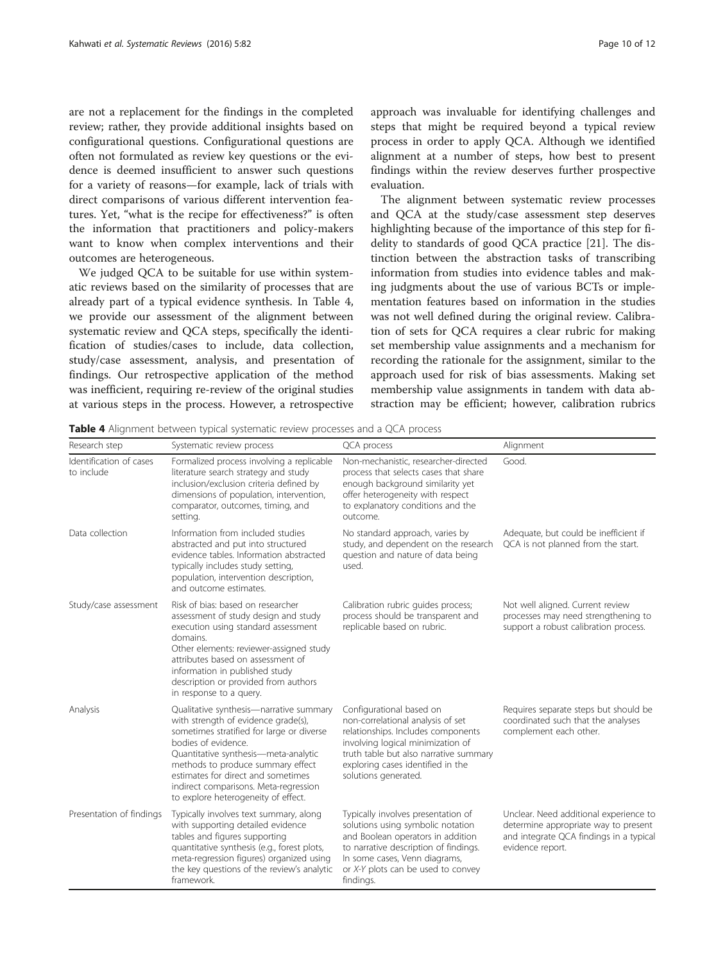are not a replacement for the findings in the completed review; rather, they provide additional insights based on configurational questions. Configurational questions are often not formulated as review key questions or the evidence is deemed insufficient to answer such questions for a variety of reasons—for example, lack of trials with direct comparisons of various different intervention features. Yet, "what is the recipe for effectiveness?" is often the information that practitioners and policy-makers want to know when complex interventions and their outcomes are heterogeneous.

We judged QCA to be suitable for use within systematic reviews based on the similarity of processes that are already part of a typical evidence synthesis. In Table 4, we provide our assessment of the alignment between systematic review and QCA steps, specifically the identification of studies/cases to include, data collection, study/case assessment, analysis, and presentation of findings. Our retrospective application of the method was inefficient, requiring re-review of the original studies at various steps in the process. However, a retrospective

approach was invaluable for identifying challenges and steps that might be required beyond a typical review process in order to apply QCA. Although we identified alignment at a number of steps, how best to present findings within the review deserves further prospective evaluation.

The alignment between systematic review processes and QCA at the study/case assessment step deserves highlighting because of the importance of this step for fidelity to standards of good QCA practice [[21\]](#page-11-0). The distinction between the abstraction tasks of transcribing information from studies into evidence tables and making judgments about the use of various BCTs or implementation features based on information in the studies was not well defined during the original review. Calibration of sets for QCA requires a clear rubric for making set membership value assignments and a mechanism for recording the rationale for the assignment, similar to the approach used for risk of bias assessments. Making set membership value assignments in tandem with data abstraction may be efficient; however, calibration rubrics

Table 4 Alignment between typical systematic review processes and a QCA process

| Research step                         | Systematic review process                                                                                                                                                                                                                                                                                                                             | QCA process                                                                                                                                                                                                                                     | Alignment                                                                                                                                     |
|---------------------------------------|-------------------------------------------------------------------------------------------------------------------------------------------------------------------------------------------------------------------------------------------------------------------------------------------------------------------------------------------------------|-------------------------------------------------------------------------------------------------------------------------------------------------------------------------------------------------------------------------------------------------|-----------------------------------------------------------------------------------------------------------------------------------------------|
| Identification of cases<br>to include | Formalized process involving a replicable<br>literature search strategy and study<br>inclusion/exclusion criteria defined by<br>dimensions of population, intervention,<br>comparator, outcomes, timing, and<br>setting.                                                                                                                              | Non-mechanistic, researcher-directed<br>process that selects cases that share<br>enough background similarity yet<br>offer heterogeneity with respect<br>to explanatory conditions and the<br>outcome.                                          | Good.                                                                                                                                         |
| Data collection                       | Information from included studies<br>abstracted and put into structured<br>evidence tables. Information abstracted<br>typically includes study setting,<br>population, intervention description,<br>and outcome estimates.                                                                                                                            | No standard approach, varies by<br>study, and dependent on the research<br>question and nature of data being<br>used.                                                                                                                           | Adequate, but could be inefficient if<br>QCA is not planned from the start.                                                                   |
| Study/case assessment                 | Risk of bias: based on researcher<br>assessment of study design and study<br>execution using standard assessment<br>domains.<br>Other elements: reviewer-assigned study<br>attributes based on assessment of<br>information in published study<br>description or provided from authors<br>in response to a query.                                     | Calibration rubric quides process;<br>process should be transparent and<br>replicable based on rubric.                                                                                                                                          | Not well aligned. Current review<br>processes may need strengthening to<br>support a robust calibration process.                              |
| Analysis                              | Qualitative synthesis-narrative summary<br>with strength of evidence grade(s),<br>sometimes stratified for large or diverse<br>bodies of evidence.<br>Quantitative synthesis-meta-analytic<br>methods to produce summary effect<br>estimates for direct and sometimes<br>indirect comparisons. Meta-regression<br>to explore heterogeneity of effect. | Configurational based on<br>non-correlational analysis of set<br>relationships. Includes components<br>involving logical minimization of<br>truth table but also narrative summary<br>exploring cases identified in the<br>solutions generated. | Requires separate steps but should be<br>coordinated such that the analyses<br>complement each other.                                         |
| Presentation of findings              | Typically involves text summary, along<br>with supporting detailed evidence<br>tables and figures supporting<br>quantitative synthesis (e.g., forest plots,<br>meta-regression figures) organized using<br>the key questions of the review's analytic<br>framework.                                                                                   | Typically involves presentation of<br>solutions using symbolic notation<br>and Boolean operators in addition<br>to narrative description of findings.<br>In some cases, Venn diagrams,<br>or X-Y plots can be used to convey<br>findings.       | Unclear. Need additional experience to<br>determine appropriate way to present<br>and integrate QCA findings in a typical<br>evidence report. |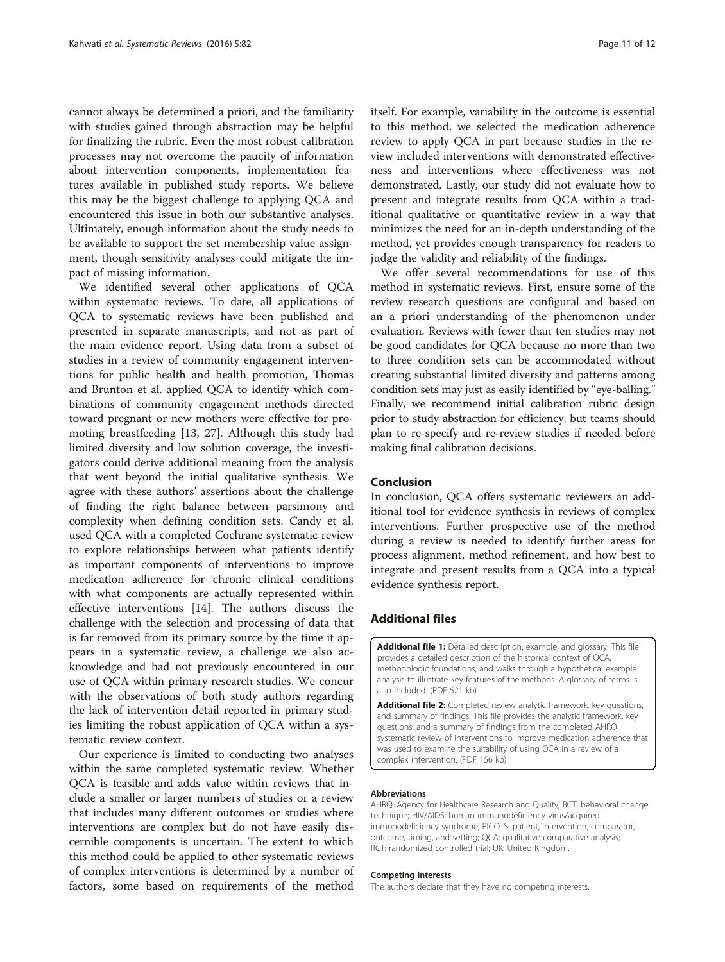<span id="page-10-0"></span>cannot always be determined a priori, and the familiarity with studies gained through abstraction may be helpful for finalizing the rubric. Even the most robust calibration processes may not overcome the paucity of information about intervention components, implementation features available in published study reports. We believe this may be the biggest challenge to applying QCA and encountered this issue in both our substantive analyses. Ultimately, enough information about the study needs to be available to support the set membership value assignment, though sensitivity analyses could mitigate the impact of missing information.

We identified several other applications of QCA within systematic reviews. To date, all applications of QCA to systematic reviews have been published and presented in separate manuscripts, and not as part of the main evidence report. Using data from a subset of studies in a review of community engagement interventions for public health and health promotion, Thomas and Brunton et al. applied QCA to identify which combinations of community engagement methods directed toward pregnant or new mothers were effective for promoting breastfeeding [[13, 27\]](#page-11-0). Although this study had limited diversity and low solution coverage, the investigators could derive additional meaning from the analysis that went beyond the initial qualitative synthesis. We agree with these authors' assertions about the challenge of finding the right balance between parsimony and complexity when defining condition sets. Candy et al. used QCA with a completed Cochrane systematic review to explore relationships between what patients identify as important components of interventions to improve medication adherence for chronic clinical conditions with what components are actually represented within effective interventions [\[14](#page-11-0)]. The authors discuss the challenge with the selection and processing of data that is far removed from its primary source by the time it appears in a systematic review, a challenge we also acknowledge and had not previously encountered in our use of QCA within primary research studies. We concur with the observations of both study authors regarding the lack of intervention detail reported in primary studies limiting the robust application of QCA within a systematic review context.

Our experience is limited to conducting two analyses within the same completed systematic review. Whether QCA is feasible and adds value within reviews that include a smaller or larger numbers of studies or a review that includes many different outcomes or studies where interventions are complex but do not have easily discernible components is uncertain. The extent to which this method could be applied to other systematic reviews of complex interventions is determined by a number of factors, some based on requirements of the method

itself. For example, variability in the outcome is essential to this method; we selected the medication adherence review to apply QCA in part because studies in the review included interventions with demonstrated effectiveness and interventions where effectiveness was not demonstrated. Lastly, our study did not evaluate how to present and integrate results from QCA within a traditional qualitative or quantitative review in a way that minimizes the need for an in-depth understanding of the method, yet provides enough transparency for readers to judge the validity and reliability of the findings.

We offer several recommendations for use of this method in systematic reviews. First, ensure some of the review research questions are configural and based on an a priori understanding of the phenomenon under evaluation. Reviews with fewer than ten studies may not be good candidates for QCA because no more than two to three condition sets can be accommodated without creating substantial limited diversity and patterns among condition sets may just as easily identified by "eye-balling." Finally, we recommend initial calibration rubric design prior to study abstraction for efficiency, but teams should plan to re-specify and re-review studies if needed before making final calibration decisions.

#### Conclusion

In conclusion, QCA offers systematic reviewers an additional tool for evidence synthesis in reviews of complex interventions. Further prospective use of the method during a review is needed to identify further areas for process alignment, method refinement, and how best to integrate and present results from a QCA into a typical evidence synthesis report.

#### Additional files

[Additional file 1:](dx.doi.org/10.1186/s13643-016-0256-y) Detailed description, example, and glossary. This file provides a detailed description of the historical context of QCA, methodologic foundations, and walks through a hypothetical example analysis to illustrate key features of the methods. A glossary of terms is also included. (PDF 521 kb)

[Additional file 2:](dx.doi.org/10.1186/s13643-016-0256-y) Completed review analytic framework, key questions, and summary of findings. This file provides the analytic framework, key questions, and a summary of findings from the completed AHRQ systematic review of interventions to improve medication adherence that was used to examine the suitability of using QCA in a review of a complex intervention. (PDF 156 kb)

#### Abbreviations

AHRQ: Agency for Healthcare Research and Quality; BCT: behavioral change technique; HIV/AIDS: human immunodeficiency virus/acquired immunodeficiency syndrome; PICOTS: patient, intervention, comparator, outcome, timing, and setting; QCA: qualitative comparative analysis; RCT: randomized controlled trial; UK: United Kingdom.

#### Competing interests

The authors declare that they have no competing interests.